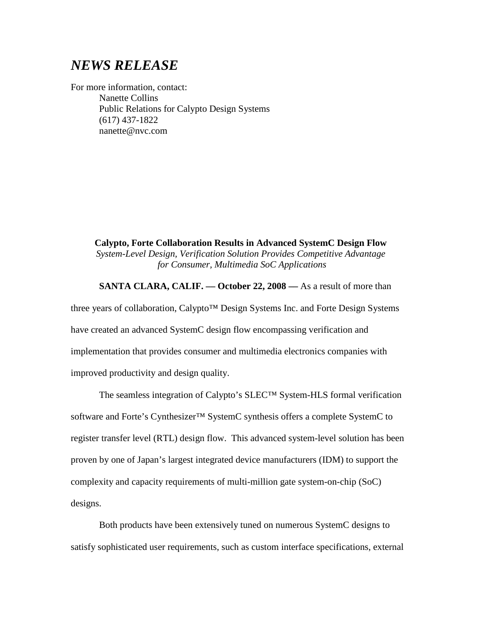# *NEWS RELEASE*

For more information, contact: Nanette Collins Public Relations for Calypto Design Systems (617) 437-1822 nanette@nvc.com

> **Calypto, Forte Collaboration Results in Advanced SystemC Design Flow**  *System-Level Design, Verification Solution Provides Competitive Advantage for Consumer, Multimedia SoC Applications*

#### **SANTA CLARA, CALIF. –– October 22, 2008 ––** As a result of more than

three years of collaboration, Calypto™ Design Systems Inc. and Forte Design Systems have created an advanced SystemC design flow encompassing verification and implementation that provides consumer and multimedia electronics companies with improved productivity and design quality.

The seamless integration of Calypto's SLEC™ System-HLS formal verification software and Forte's Cynthesizer<sup>™</sup> SystemC synthesis offers a complete SystemC to register transfer level (RTL) design flow. This advanced system-level solution has been proven by one of Japan's largest integrated device manufacturers (IDM) to support the complexity and capacity requirements of multi-million gate system-on-chip (SoC) designs.

Both products have been extensively tuned on numerous SystemC designs to satisfy sophisticated user requirements, such as custom interface specifications, external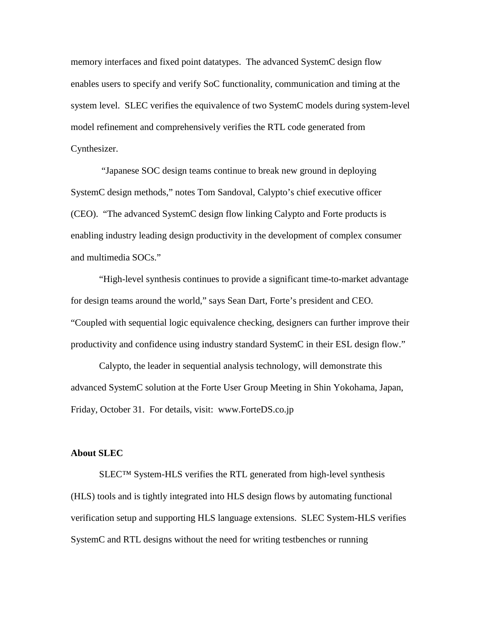memory interfaces and fixed point datatypes. The advanced SystemC design flow enables users to specify and verify SoC functionality, communication and timing at the system level. SLEC verifies the equivalence of two SystemC models during system-level model refinement and comprehensively verifies the RTL code generated from Cynthesizer.

"Japanese SOC design teams continue to break new ground in deploying SystemC design methods," notes Tom Sandoval, Calypto's chief executive officer (CEO). "The advanced SystemC design flow linking Calypto and Forte products is enabling industry leading design productivity in the development of complex consumer and multimedia SOCs."

"High-level synthesis continues to provide a significant time-to-market advantage for design teams around the world," says Sean Dart, Forte's president and CEO. "Coupled with sequential logic equivalence checking, designers can further improve their productivity and confidence using industry standard SystemC in their ESL design flow."

Calypto, the leader in sequential analysis technology, will demonstrate this advanced SystemC solution at the Forte User Group Meeting in Shin Yokohama, Japan, Friday, October 31. For details, visit: www.ForteDS.co.jp

#### **About SLEC**

SLEC™ System-HLS verifies the RTL generated from high-level synthesis (HLS) tools and is tightly integrated into HLS design flows by automating functional verification setup and supporting HLS language extensions. SLEC System-HLS verifies SystemC and RTL designs without the need for writing testbenches or running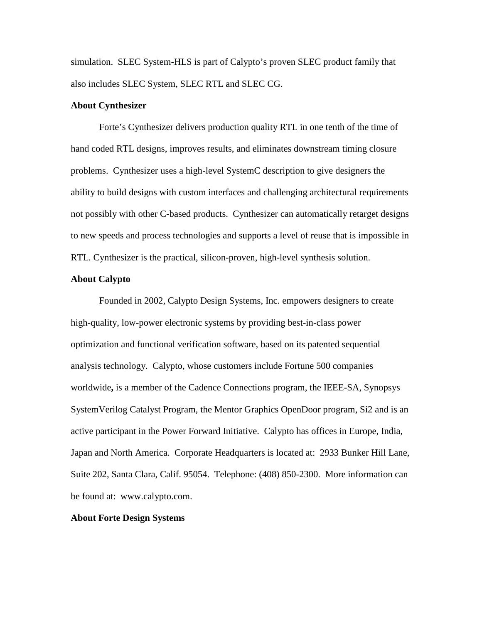simulation. SLEC System-HLS is part of Calypto's proven SLEC product family that also includes SLEC System, SLEC RTL and SLEC CG.

## **About Cynthesizer**

Forte's Cynthesizer delivers production quality RTL in one tenth of the time of hand coded RTL designs, improves results, and eliminates downstream timing closure problems. Cynthesizer uses a high-level SystemC description to give designers the ability to build designs with custom interfaces and challenging architectural requirements not possibly with other C-based products. Cynthesizer can automatically retarget designs to new speeds and process technologies and supports a level of reuse that is impossible in RTL. Cynthesizer is the practical, silicon-proven, high-level synthesis solution.

### **About Calypto**

Founded in 2002, Calypto Design Systems, Inc. empowers designers to create high-quality, low-power electronic systems by providing best-in-class power optimization and functional verification software, based on its patented sequential analysis technology. Calypto, whose customers include Fortune 500 companies worldwide**,** is a member of the Cadence Connections program, the IEEE-SA, Synopsys SystemVerilog Catalyst Program, the Mentor Graphics OpenDoor program, Si2 and is an active participant in the Power Forward Initiative. Calypto has offices in Europe, India, Japan and North America. Corporate Headquarters is located at: 2933 Bunker Hill Lane, Suite 202, Santa Clara, Calif. 95054. Telephone: (408) 850-2300. More information can be found at: [www.calypto.com.](http://www.calypto.com/)

## **About Forte Design Systems**